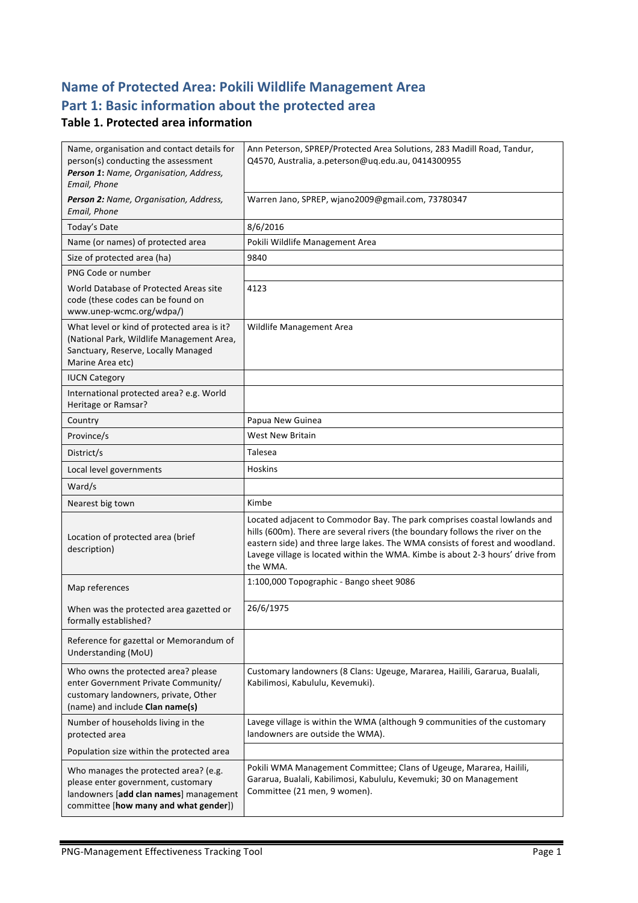## **Name of Protected Area: Pokili Wildlife Management Area** Part 1: Basic information about the protected area

#### **Table 1. Protected area information**

| Name, organisation and contact details for<br>person(s) conducting the assessment<br>Person 1: Name, Organisation, Address,<br>Email, Phone                    | Ann Peterson, SPREP/Protected Area Solutions, 283 Madill Road, Tandur,<br>Q4570, Australia, a.peterson@uq.edu.au, 0414300955                                                                                                                                                                                                              |  |
|----------------------------------------------------------------------------------------------------------------------------------------------------------------|-------------------------------------------------------------------------------------------------------------------------------------------------------------------------------------------------------------------------------------------------------------------------------------------------------------------------------------------|--|
| Person 2: Name, Organisation, Address,<br>Email, Phone                                                                                                         | Warren Jano, SPREP, wjano2009@gmail.com, 73780347                                                                                                                                                                                                                                                                                         |  |
| Today's Date                                                                                                                                                   | 8/6/2016                                                                                                                                                                                                                                                                                                                                  |  |
| Name (or names) of protected area                                                                                                                              | Pokili Wildlife Management Area                                                                                                                                                                                                                                                                                                           |  |
| Size of protected area (ha)                                                                                                                                    | 9840                                                                                                                                                                                                                                                                                                                                      |  |
| PNG Code or number                                                                                                                                             |                                                                                                                                                                                                                                                                                                                                           |  |
| World Database of Protected Areas site<br>code (these codes can be found on<br>www.unep-wcmc.org/wdpa/)                                                        | 4123                                                                                                                                                                                                                                                                                                                                      |  |
| What level or kind of protected area is it?<br>(National Park, Wildlife Management Area,<br>Sanctuary, Reserve, Locally Managed<br>Marine Area etc)            | Wildlife Management Area                                                                                                                                                                                                                                                                                                                  |  |
| <b>IUCN Category</b>                                                                                                                                           |                                                                                                                                                                                                                                                                                                                                           |  |
| International protected area? e.g. World<br>Heritage or Ramsar?                                                                                                |                                                                                                                                                                                                                                                                                                                                           |  |
| Country                                                                                                                                                        | Papua New Guinea                                                                                                                                                                                                                                                                                                                          |  |
| Province/s                                                                                                                                                     | <b>West New Britain</b>                                                                                                                                                                                                                                                                                                                   |  |
| District/s                                                                                                                                                     | Talesea                                                                                                                                                                                                                                                                                                                                   |  |
| Local level governments                                                                                                                                        | <b>Hoskins</b>                                                                                                                                                                                                                                                                                                                            |  |
| Ward/s                                                                                                                                                         |                                                                                                                                                                                                                                                                                                                                           |  |
| Nearest big town                                                                                                                                               | Kimbe                                                                                                                                                                                                                                                                                                                                     |  |
| Location of protected area (brief<br>description)                                                                                                              | Located adjacent to Commodor Bay. The park comprises coastal lowlands and<br>hills (600m). There are several rivers (the boundary follows the river on the<br>eastern side) and three large lakes. The WMA consists of forest and woodland.<br>Lavege village is located within the WMA. Kimbe is about 2-3 hours' drive from<br>the WMA. |  |
| Map references                                                                                                                                                 | 1:100,000 Topographic - Bango sheet 9086                                                                                                                                                                                                                                                                                                  |  |
| When was the protected area gazetted or<br>formally established?                                                                                               | 26/6/1975                                                                                                                                                                                                                                                                                                                                 |  |
| Reference for gazettal or Memorandum of<br>Understanding (MoU)                                                                                                 |                                                                                                                                                                                                                                                                                                                                           |  |
| Who owns the protected area? please<br>enter Government Private Community/<br>customary landowners, private, Other<br>(name) and include Clan name(s)          | Customary landowners (8 Clans: Ugeuge, Mararea, Hailili, Gararua, Bualali,<br>Kabilimosi, Kabululu, Kevemuki).                                                                                                                                                                                                                            |  |
| Number of households living in the<br>protected area                                                                                                           | Lavege village is within the WMA (although 9 communities of the customary<br>landowners are outside the WMA).                                                                                                                                                                                                                             |  |
| Population size within the protected area                                                                                                                      |                                                                                                                                                                                                                                                                                                                                           |  |
| Who manages the protected area? (e.g.<br>please enter government, customary<br>landowners [add clan names] management<br>committee [how many and what gender]) | Pokili WMA Management Committee; Clans of Ugeuge, Mararea, Hailili,<br>Gararua, Bualali, Kabilimosi, Kabululu, Kevemuki; 30 on Management<br>Committee (21 men, 9 women).                                                                                                                                                                 |  |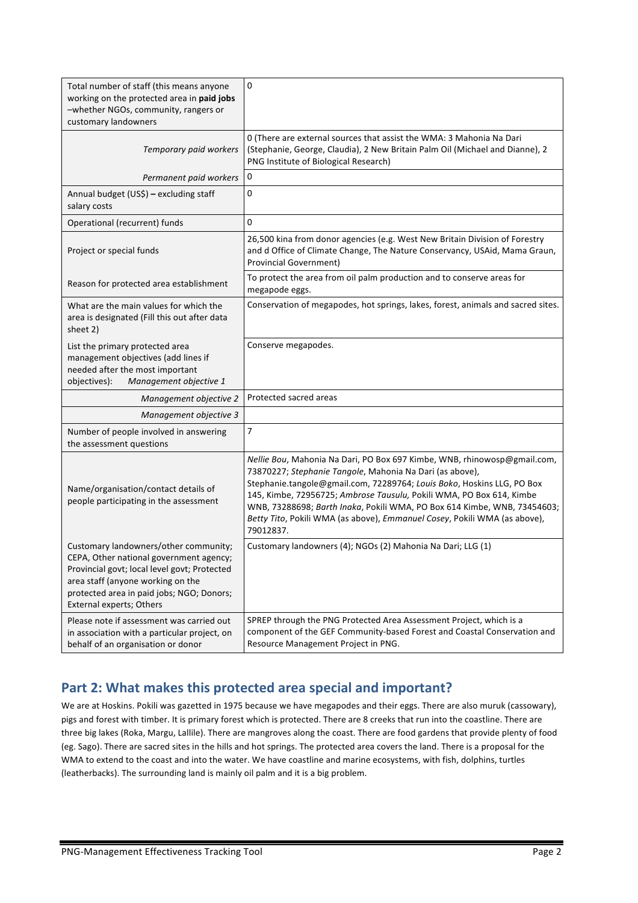| Total number of staff (this means anyone<br>working on the protected area in paid jobs<br>-whether NGOs, community, rangers or<br>customary landowners                                                                                         | $\pmb{0}$                                                                                                                                                                                                                                                                                                                                                                                                                                                    |
|------------------------------------------------------------------------------------------------------------------------------------------------------------------------------------------------------------------------------------------------|--------------------------------------------------------------------------------------------------------------------------------------------------------------------------------------------------------------------------------------------------------------------------------------------------------------------------------------------------------------------------------------------------------------------------------------------------------------|
| Temporary paid workers                                                                                                                                                                                                                         | 0 (There are external sources that assist the WMA: 3 Mahonia Na Dari<br>(Stephanie, George, Claudia), 2 New Britain Palm Oil (Michael and Dianne), 2<br>PNG Institute of Biological Research)                                                                                                                                                                                                                                                                |
| Permanent paid workers                                                                                                                                                                                                                         | 0                                                                                                                                                                                                                                                                                                                                                                                                                                                            |
| Annual budget (US\$) - excluding staff<br>salary costs                                                                                                                                                                                         | 0                                                                                                                                                                                                                                                                                                                                                                                                                                                            |
| Operational (recurrent) funds                                                                                                                                                                                                                  | 0                                                                                                                                                                                                                                                                                                                                                                                                                                                            |
| Project or special funds                                                                                                                                                                                                                       | 26,500 kina from donor agencies (e.g. West New Britain Division of Forestry<br>and d Office of Climate Change, The Nature Conservancy, USAid, Mama Graun,<br><b>Provincial Government)</b>                                                                                                                                                                                                                                                                   |
| Reason for protected area establishment                                                                                                                                                                                                        | To protect the area from oil palm production and to conserve areas for<br>megapode eggs.                                                                                                                                                                                                                                                                                                                                                                     |
| What are the main values for which the<br>area is designated (Fill this out after data<br>sheet 2)                                                                                                                                             | Conservation of megapodes, hot springs, lakes, forest, animals and sacred sites.                                                                                                                                                                                                                                                                                                                                                                             |
| List the primary protected area<br>management objectives (add lines if<br>needed after the most important<br>objectives):<br>Management objective 1                                                                                            | Conserve megapodes.                                                                                                                                                                                                                                                                                                                                                                                                                                          |
| Management objective 2                                                                                                                                                                                                                         | Protected sacred areas                                                                                                                                                                                                                                                                                                                                                                                                                                       |
| Management objective 3                                                                                                                                                                                                                         |                                                                                                                                                                                                                                                                                                                                                                                                                                                              |
| Number of people involved in answering<br>the assessment questions                                                                                                                                                                             | 7                                                                                                                                                                                                                                                                                                                                                                                                                                                            |
| Name/organisation/contact details of<br>people participating in the assessment                                                                                                                                                                 | Nellie Bou, Mahonia Na Dari, PO Box 697 Kimbe, WNB, rhinowosp@gmail.com,<br>73870227; Stephanie Tangole, Mahonia Na Dari (as above),<br>Stephanie.tangole@gmail.com, 72289764; Louis Boko, Hoskins LLG, PO Box<br>145, Kimbe, 72956725; Ambrose Tausulu, Pokili WMA, PO Box 614, Kimbe<br>WNB, 73288698; Barth Inaka, Pokili WMA, PO Box 614 Kimbe, WNB, 73454603;<br>Betty Tito, Pokili WMA (as above), Emmanuel Cosey, Pokili WMA (as above),<br>79012837. |
| Customary landowners/other community;<br>CEPA, Other national government agency;<br>Provincial govt; local level govt; Protected<br>area staff (anyone working on the<br>protected area in paid jobs; NGO; Donors;<br>External experts; Others | Customary landowners (4); NGOs (2) Mahonia Na Dari; LLG (1)                                                                                                                                                                                                                                                                                                                                                                                                  |
| Please note if assessment was carried out<br>in association with a particular project, on<br>behalf of an organisation or donor                                                                                                                | SPREP through the PNG Protected Area Assessment Project, which is a<br>component of the GEF Community-based Forest and Coastal Conservation and<br>Resource Management Project in PNG.                                                                                                                                                                                                                                                                       |

## Part 2: What makes this protected area special and important?

We are at Hoskins. Pokili was gazetted in 1975 because we have megapodes and their eggs. There are also muruk (cassowary), pigs and forest with timber. It is primary forest which is protected. There are 8 creeks that run into the coastline. There are three big lakes (Roka, Margu, Lallile). There are mangroves along the coast. There are food gardens that provide plenty of food (eg. Sago). There are sacred sites in the hills and hot springs. The protected area covers the land. There is a proposal for the WMA to extend to the coast and into the water. We have coastline and marine ecosystems, with fish, dolphins, turtles (leatherbacks). The surrounding land is mainly oil palm and it is a big problem.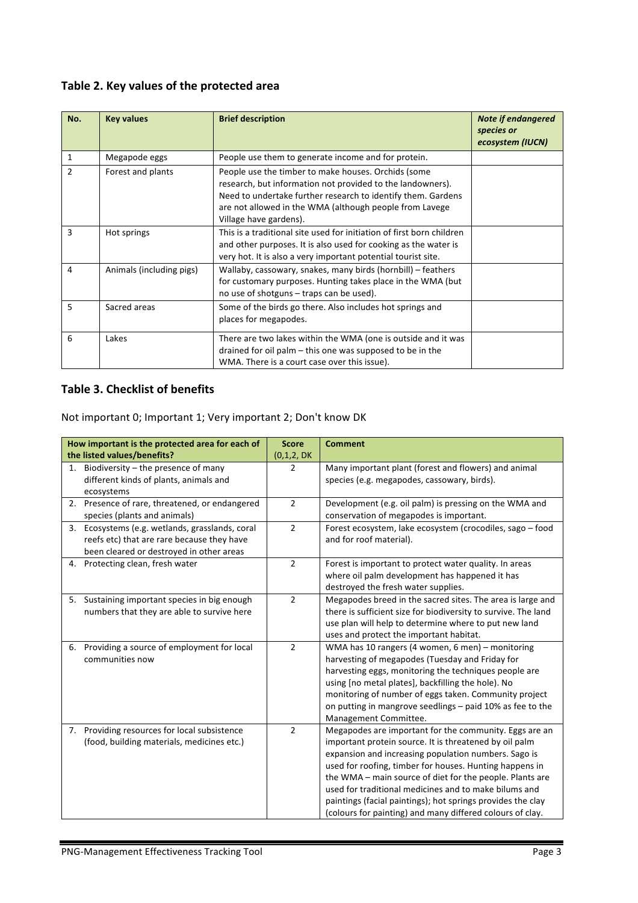### Table 2. Key values of the protected area

| No.            | <b>Key values</b>        | <b>Brief description</b>                                                                                                                                                                                                                                               | <b>Note if endangered</b><br>species or<br>ecosystem (IUCN) |
|----------------|--------------------------|------------------------------------------------------------------------------------------------------------------------------------------------------------------------------------------------------------------------------------------------------------------------|-------------------------------------------------------------|
| 1              | Megapode eggs            | People use them to generate income and for protein.                                                                                                                                                                                                                    |                                                             |
| $\mathfrak{p}$ | Forest and plants        | People use the timber to make houses. Orchids (some<br>research, but information not provided to the landowners).<br>Need to undertake further research to identify them. Gardens<br>are not allowed in the WMA (although people from Lavege<br>Village have gardens). |                                                             |
| 3              | Hot springs              | This is a traditional site used for initiation of first born children<br>and other purposes. It is also used for cooking as the water is<br>very hot. It is also a very important potential tourist site.                                                              |                                                             |
| 4              | Animals (including pigs) | Wallaby, cassowary, snakes, many birds (hornbill) – feathers<br>for customary purposes. Hunting takes place in the WMA (but<br>no use of shotguns – traps can be used).                                                                                                |                                                             |
| 5              | Sacred areas             | Some of the birds go there. Also includes hot springs and<br>places for megapodes.                                                                                                                                                                                     |                                                             |
| 6              | Lakes                    | There are two lakes within the WMA (one is outside and it was<br>drained for oil palm $-$ this one was supposed to be in the<br>WMA. There is a court case over this issue).                                                                                           |                                                             |

### **Table 3. Checklist of benefits**

| How important is the protected area for each of |                                                 | <b>Score</b>   | <b>Comment</b>                                                 |
|-------------------------------------------------|-------------------------------------------------|----------------|----------------------------------------------------------------|
|                                                 | the listed values/benefits?                     | (0,1,2, DK)    |                                                                |
|                                                 | 1. Biodiversity $-$ the presence of many        | $\overline{2}$ | Many important plant (forest and flowers) and animal           |
|                                                 | different kinds of plants, animals and          |                | species (e.g. megapodes, cassowary, birds).                    |
|                                                 | ecosystems                                      |                |                                                                |
|                                                 | 2. Presence of rare, threatened, or endangered  | $\overline{2}$ | Development (e.g. oil palm) is pressing on the WMA and         |
|                                                 | species (plants and animals)                    |                | conservation of megapodes is important.                        |
|                                                 | 3. Ecosystems (e.g. wetlands, grasslands, coral | $\overline{2}$ | Forest ecosystem, lake ecosystem (crocodiles, sago - food      |
|                                                 | reefs etc) that are rare because they have      |                | and for roof material).                                        |
|                                                 | been cleared or destroyed in other areas        |                |                                                                |
|                                                 | 4. Protecting clean, fresh water                | $\overline{2}$ | Forest is important to protect water quality. In areas         |
|                                                 |                                                 |                | where oil palm development has happened it has                 |
|                                                 |                                                 |                | destroyed the fresh water supplies.                            |
|                                                 | 5. Sustaining important species in big enough   | $\overline{2}$ | Megapodes breed in the sacred sites. The area is large and     |
|                                                 | numbers that they are able to survive here      |                | there is sufficient size for biodiversity to survive. The land |
|                                                 |                                                 |                | use plan will help to determine where to put new land          |
|                                                 |                                                 |                | uses and protect the important habitat.                        |
|                                                 | 6. Providing a source of employment for local   | $\overline{2}$ | WMA has 10 rangers (4 women, 6 men) - monitoring               |
|                                                 | communities now                                 |                | harvesting of megapodes (Tuesday and Friday for                |
|                                                 |                                                 |                | harvesting eggs, monitoring the techniques people are          |
|                                                 |                                                 |                | using [no metal plates], backfilling the hole). No             |
|                                                 |                                                 |                | monitoring of number of eggs taken. Community project          |
|                                                 |                                                 |                | on putting in mangrove seedlings - paid 10% as fee to the      |
|                                                 |                                                 |                | Management Committee.                                          |
| 7.                                              | Providing resources for local subsistence       | $\overline{2}$ | Megapodes are important for the community. Eggs are an         |
|                                                 | (food, building materials, medicines etc.)      |                | important protein source. It is threatened by oil palm         |
|                                                 |                                                 |                | expansion and increasing population numbers. Sago is           |
|                                                 |                                                 |                | used for roofing, timber for houses. Hunting happens in        |
|                                                 |                                                 |                | the WMA - main source of diet for the people. Plants are       |
|                                                 |                                                 |                | used for traditional medicines and to make bilums and          |
|                                                 |                                                 |                | paintings (facial paintings); hot springs provides the clay    |
|                                                 |                                                 |                | (colours for painting) and many differed colours of clay.      |

Not important 0; Important 1; Very important 2; Don't know DK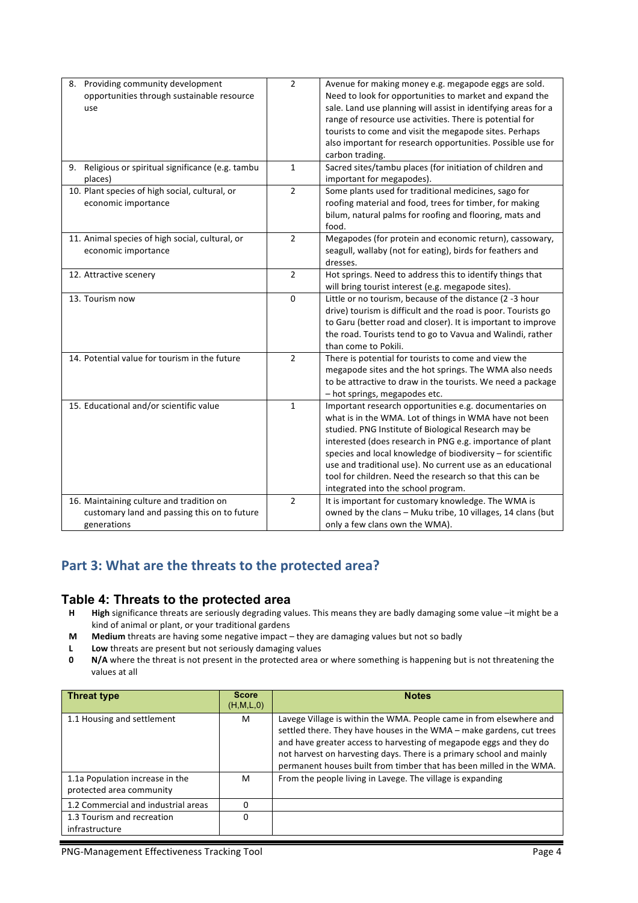| 8. Providing community development<br>opportunities through sustainable resource<br>use                 | $\overline{2}$ | Avenue for making money e.g. megapode eggs are sold.<br>Need to look for opportunities to market and expand the<br>sale. Land use planning will assist in identifying areas for a<br>range of resource use activities. There is potential for<br>tourists to come and visit the megapode sites. Perhaps<br>also important for research opportunities. Possible use for<br>carbon trading.                                                                              |
|---------------------------------------------------------------------------------------------------------|----------------|------------------------------------------------------------------------------------------------------------------------------------------------------------------------------------------------------------------------------------------------------------------------------------------------------------------------------------------------------------------------------------------------------------------------------------------------------------------------|
| 9. Religious or spiritual significance (e.g. tambu<br>places)                                           | $\mathbf{1}$   | Sacred sites/tambu places (for initiation of children and<br>important for megapodes).                                                                                                                                                                                                                                                                                                                                                                                 |
| 10. Plant species of high social, cultural, or<br>economic importance                                   | $\overline{2}$ | Some plants used for traditional medicines, sago for<br>roofing material and food, trees for timber, for making<br>bilum, natural palms for roofing and flooring, mats and<br>food.                                                                                                                                                                                                                                                                                    |
| 11. Animal species of high social, cultural, or<br>economic importance                                  | $\overline{2}$ | Megapodes (for protein and economic return), cassowary,<br>seagull, wallaby (not for eating), birds for feathers and<br>dresses.                                                                                                                                                                                                                                                                                                                                       |
| 12. Attractive scenery                                                                                  | $\overline{2}$ | Hot springs. Need to address this to identify things that<br>will bring tourist interest (e.g. megapode sites).                                                                                                                                                                                                                                                                                                                                                        |
| 13. Tourism now                                                                                         | $\mathbf{0}$   | Little or no tourism, because of the distance (2 -3 hour<br>drive) tourism is difficult and the road is poor. Tourists go<br>to Garu (better road and closer). It is important to improve<br>the road. Tourists tend to go to Vavua and Walindi, rather<br>than come to Pokili.                                                                                                                                                                                        |
| 14. Potential value for tourism in the future                                                           | $\overline{2}$ | There is potential for tourists to come and view the<br>megapode sites and the hot springs. The WMA also needs<br>to be attractive to draw in the tourists. We need a package<br>- hot springs, megapodes etc.                                                                                                                                                                                                                                                         |
| 15. Educational and/or scientific value                                                                 | $\mathbf{1}$   | Important research opportunities e.g. documentaries on<br>what is in the WMA. Lot of things in WMA have not been<br>studied. PNG Institute of Biological Research may be<br>interested (does research in PNG e.g. importance of plant<br>species and local knowledge of biodiversity - for scientific<br>use and traditional use). No current use as an educational<br>tool for children. Need the research so that this can be<br>integrated into the school program. |
| 16. Maintaining culture and tradition on<br>customary land and passing this on to future<br>generations | $\overline{2}$ | It is important for customary knowledge. The WMA is<br>owned by the clans - Muku tribe, 10 villages, 14 clans (but<br>only a few clans own the WMA).                                                                                                                                                                                                                                                                                                                   |

## Part 3: What are the threats to the protected area?

#### **Table 4: Threats to the protected area**

- **H High** significance threats are seriously degrading values. This means they are badly damaging some value –it might be a kind of animal or plant, or your traditional gardens
- **M** Medium threats are having some negative impact they are damaging values but not so badly
- **L Low** threats are present but not seriously damaging values<br>**0 N/A** where the threat is not present in the protected area of
- **N/A** where the threat is not present in the protected area or where something is happening but is not threatening the values at all

| <b>Threat type</b>                                          | <b>Score</b><br>(H,M,L,0) | <b>Notes</b>                                                                                                                                                                                                                                                                                                                                                     |
|-------------------------------------------------------------|---------------------------|------------------------------------------------------------------------------------------------------------------------------------------------------------------------------------------------------------------------------------------------------------------------------------------------------------------------------------------------------------------|
| 1.1 Housing and settlement                                  | м                         | Lavege Village is within the WMA. People came in from elsewhere and<br>settled there. They have houses in the WMA - make gardens, cut trees<br>and have greater access to harvesting of megapode eggs and they do<br>not harvest on harvesting days. There is a primary school and mainly<br>permanent houses built from timber that has been milled in the WMA. |
| 1.1a Population increase in the<br>protected area community | м                         | From the people living in Lavege. The village is expanding                                                                                                                                                                                                                                                                                                       |
| 1.2 Commercial and industrial areas                         |                           |                                                                                                                                                                                                                                                                                                                                                                  |
| 1.3 Tourism and recreation<br>infrastructure                |                           |                                                                                                                                                                                                                                                                                                                                                                  |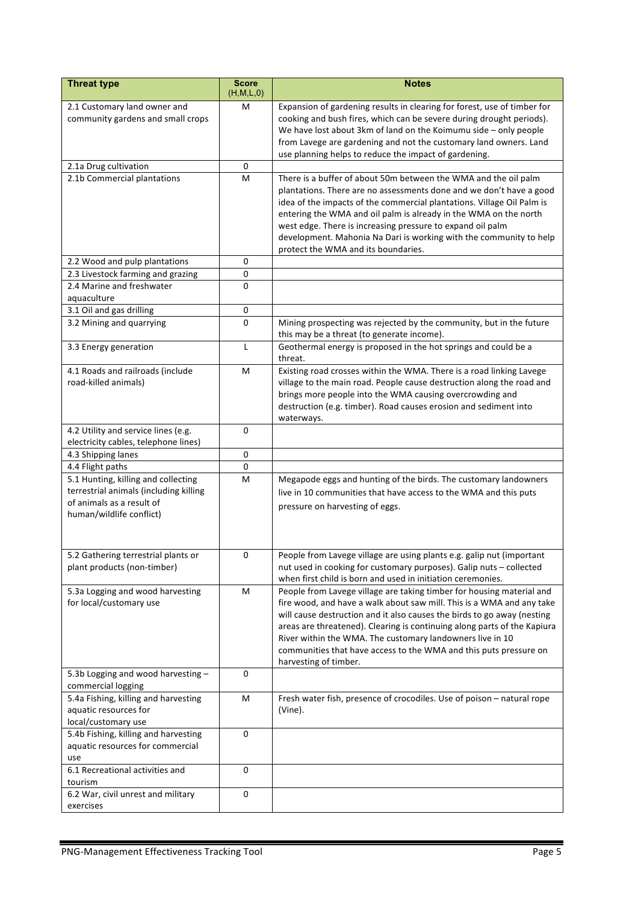| Expansion of gardening results in clearing for forest, use of timber for<br>2.1 Customary land owner and<br>М<br>community gardens and small crops<br>cooking and bush fires, which can be severe during drought periods).<br>We have lost about 3km of land on the Koimumu side - only people<br>from Lavege are gardening and not the customary land owners. Land<br>use planning helps to reduce the impact of gardening.<br>2.1a Drug cultivation<br>0<br>2.1b Commercial plantations<br>M<br>There is a buffer of about 50m between the WMA and the oil palm<br>plantations. There are no assessments done and we don't have a good<br>idea of the impacts of the commercial plantations. Village Oil Palm is<br>entering the WMA and oil palm is already in the WMA on the north<br>west edge. There is increasing pressure to expand oil palm<br>development. Mahonia Na Dari is working with the community to help<br>protect the WMA and its boundaries.<br>2.2 Wood and pulp plantations<br>0<br>2.3 Livestock farming and grazing<br>0<br>0<br>2.4 Marine and freshwater<br>aquaculture<br>3.1 Oil and gas drilling<br>$\mathbf 0$<br>$\mathbf 0$<br>3.2 Mining and quarrying<br>Mining prospecting was rejected by the community, but in the future<br>this may be a threat (to generate income).<br>Geothermal energy is proposed in the hot springs and could be a<br>3.3 Energy generation<br>L<br>threat.<br>Existing road crosses within the WMA. There is a road linking Lavege<br>4.1 Roads and railroads (include<br>M<br>road-killed animals)<br>village to the main road. People cause destruction along the road and<br>brings more people into the WMA causing overcrowding and<br>destruction (e.g. timber). Road causes erosion and sediment into<br>waterways.<br>$\Omega$<br>4.2 Utility and service lines (e.g.<br>electricity cables, telephone lines)<br>4.3 Shipping lanes<br>0<br>4.4 Flight paths<br>0<br>5.1 Hunting, killing and collecting<br>M<br>Megapode eggs and hunting of the birds. The customary landowners<br>terrestrial animals (including killing<br>live in 10 communities that have access to the WMA and this puts<br>of animals as a result of<br>pressure on harvesting of eggs.<br>human/wildlife conflict)<br>People from Lavege village are using plants e.g. galip nut (important<br>5.2 Gathering terrestrial plants or<br>0<br>plant products (non-timber)<br>nut used in cooking for customary purposes). Galip nuts - collected<br>when first child is born and used in initiation ceremonies.<br>M<br>5.3a Logging and wood harvesting<br>People from Lavege village are taking timber for housing material and<br>fire wood, and have a walk about saw mill. This is a WMA and any take<br>for local/customary use<br>will cause destruction and it also causes the birds to go away (nesting<br>areas are threatened). Clearing is continuing along parts of the Kapiura<br>River within the WMA. The customary landowners live in 10<br>communities that have access to the WMA and this puts pressure on<br>harvesting of timber.<br>5.3b Logging and wood harvesting-<br>0<br>commercial logging<br>Fresh water fish, presence of crocodiles. Use of poison - natural rope<br>5.4a Fishing, killing and harvesting<br>M<br>aquatic resources for<br>(Vine).<br>local/customary use<br>5.4b Fishing, killing and harvesting<br>0<br>aquatic resources for commercial<br>use<br>6.1 Recreational activities and<br>$\mathbf 0$<br>tourism<br>6.2 War, civil unrest and military<br>$\mathbf 0$ | <b>Threat type</b> | Score<br>(H, M, L, 0) | <b>Notes</b> |
|------------------------------------------------------------------------------------------------------------------------------------------------------------------------------------------------------------------------------------------------------------------------------------------------------------------------------------------------------------------------------------------------------------------------------------------------------------------------------------------------------------------------------------------------------------------------------------------------------------------------------------------------------------------------------------------------------------------------------------------------------------------------------------------------------------------------------------------------------------------------------------------------------------------------------------------------------------------------------------------------------------------------------------------------------------------------------------------------------------------------------------------------------------------------------------------------------------------------------------------------------------------------------------------------------------------------------------------------------------------------------------------------------------------------------------------------------------------------------------------------------------------------------------------------------------------------------------------------------------------------------------------------------------------------------------------------------------------------------------------------------------------------------------------------------------------------------------------------------------------------------------------------------------------------------------------------------------------------------------------------------------------------------------------------------------------------------------------------------------------------------------------------------------------------------------------------------------------------------------------------------------------------------------------------------------------------------------------------------------------------------------------------------------------------------------------------------------------------------------------------------------------------------------------------------------------------------------------------------------------------------------------------------------------------------------------------------------------------------------------------------------------------------------------------------------------------------------------------------------------------------------------------------------------------------------------------------------------------------------------------------------------------------------------------------------------------------------------------------------------------------------------------------------------------------------------------------------------------------------------------------------------------------------------------------------------------------------------------------------------------------------------------------------------------------------------------------------------------------------------------------------------------------------------------------------------|--------------------|-----------------------|--------------|
|                                                                                                                                                                                                                                                                                                                                                                                                                                                                                                                                                                                                                                                                                                                                                                                                                                                                                                                                                                                                                                                                                                                                                                                                                                                                                                                                                                                                                                                                                                                                                                                                                                                                                                                                                                                                                                                                                                                                                                                                                                                                                                                                                                                                                                                                                                                                                                                                                                                                                                                                                                                                                                                                                                                                                                                                                                                                                                                                                                                                                                                                                                                                                                                                                                                                                                                                                                                                                                                                                                                                                                  |                    |                       |              |
|                                                                                                                                                                                                                                                                                                                                                                                                                                                                                                                                                                                                                                                                                                                                                                                                                                                                                                                                                                                                                                                                                                                                                                                                                                                                                                                                                                                                                                                                                                                                                                                                                                                                                                                                                                                                                                                                                                                                                                                                                                                                                                                                                                                                                                                                                                                                                                                                                                                                                                                                                                                                                                                                                                                                                                                                                                                                                                                                                                                                                                                                                                                                                                                                                                                                                                                                                                                                                                                                                                                                                                  |                    |                       |              |
|                                                                                                                                                                                                                                                                                                                                                                                                                                                                                                                                                                                                                                                                                                                                                                                                                                                                                                                                                                                                                                                                                                                                                                                                                                                                                                                                                                                                                                                                                                                                                                                                                                                                                                                                                                                                                                                                                                                                                                                                                                                                                                                                                                                                                                                                                                                                                                                                                                                                                                                                                                                                                                                                                                                                                                                                                                                                                                                                                                                                                                                                                                                                                                                                                                                                                                                                                                                                                                                                                                                                                                  |                    |                       |              |
|                                                                                                                                                                                                                                                                                                                                                                                                                                                                                                                                                                                                                                                                                                                                                                                                                                                                                                                                                                                                                                                                                                                                                                                                                                                                                                                                                                                                                                                                                                                                                                                                                                                                                                                                                                                                                                                                                                                                                                                                                                                                                                                                                                                                                                                                                                                                                                                                                                                                                                                                                                                                                                                                                                                                                                                                                                                                                                                                                                                                                                                                                                                                                                                                                                                                                                                                                                                                                                                                                                                                                                  |                    |                       |              |
|                                                                                                                                                                                                                                                                                                                                                                                                                                                                                                                                                                                                                                                                                                                                                                                                                                                                                                                                                                                                                                                                                                                                                                                                                                                                                                                                                                                                                                                                                                                                                                                                                                                                                                                                                                                                                                                                                                                                                                                                                                                                                                                                                                                                                                                                                                                                                                                                                                                                                                                                                                                                                                                                                                                                                                                                                                                                                                                                                                                                                                                                                                                                                                                                                                                                                                                                                                                                                                                                                                                                                                  |                    |                       |              |
|                                                                                                                                                                                                                                                                                                                                                                                                                                                                                                                                                                                                                                                                                                                                                                                                                                                                                                                                                                                                                                                                                                                                                                                                                                                                                                                                                                                                                                                                                                                                                                                                                                                                                                                                                                                                                                                                                                                                                                                                                                                                                                                                                                                                                                                                                                                                                                                                                                                                                                                                                                                                                                                                                                                                                                                                                                                                                                                                                                                                                                                                                                                                                                                                                                                                                                                                                                                                                                                                                                                                                                  |                    |                       |              |
|                                                                                                                                                                                                                                                                                                                                                                                                                                                                                                                                                                                                                                                                                                                                                                                                                                                                                                                                                                                                                                                                                                                                                                                                                                                                                                                                                                                                                                                                                                                                                                                                                                                                                                                                                                                                                                                                                                                                                                                                                                                                                                                                                                                                                                                                                                                                                                                                                                                                                                                                                                                                                                                                                                                                                                                                                                                                                                                                                                                                                                                                                                                                                                                                                                                                                                                                                                                                                                                                                                                                                                  |                    |                       |              |
|                                                                                                                                                                                                                                                                                                                                                                                                                                                                                                                                                                                                                                                                                                                                                                                                                                                                                                                                                                                                                                                                                                                                                                                                                                                                                                                                                                                                                                                                                                                                                                                                                                                                                                                                                                                                                                                                                                                                                                                                                                                                                                                                                                                                                                                                                                                                                                                                                                                                                                                                                                                                                                                                                                                                                                                                                                                                                                                                                                                                                                                                                                                                                                                                                                                                                                                                                                                                                                                                                                                                                                  |                    |                       |              |
|                                                                                                                                                                                                                                                                                                                                                                                                                                                                                                                                                                                                                                                                                                                                                                                                                                                                                                                                                                                                                                                                                                                                                                                                                                                                                                                                                                                                                                                                                                                                                                                                                                                                                                                                                                                                                                                                                                                                                                                                                                                                                                                                                                                                                                                                                                                                                                                                                                                                                                                                                                                                                                                                                                                                                                                                                                                                                                                                                                                                                                                                                                                                                                                                                                                                                                                                                                                                                                                                                                                                                                  |                    |                       |              |
|                                                                                                                                                                                                                                                                                                                                                                                                                                                                                                                                                                                                                                                                                                                                                                                                                                                                                                                                                                                                                                                                                                                                                                                                                                                                                                                                                                                                                                                                                                                                                                                                                                                                                                                                                                                                                                                                                                                                                                                                                                                                                                                                                                                                                                                                                                                                                                                                                                                                                                                                                                                                                                                                                                                                                                                                                                                                                                                                                                                                                                                                                                                                                                                                                                                                                                                                                                                                                                                                                                                                                                  |                    |                       |              |
|                                                                                                                                                                                                                                                                                                                                                                                                                                                                                                                                                                                                                                                                                                                                                                                                                                                                                                                                                                                                                                                                                                                                                                                                                                                                                                                                                                                                                                                                                                                                                                                                                                                                                                                                                                                                                                                                                                                                                                                                                                                                                                                                                                                                                                                                                                                                                                                                                                                                                                                                                                                                                                                                                                                                                                                                                                                                                                                                                                                                                                                                                                                                                                                                                                                                                                                                                                                                                                                                                                                                                                  |                    |                       |              |
|                                                                                                                                                                                                                                                                                                                                                                                                                                                                                                                                                                                                                                                                                                                                                                                                                                                                                                                                                                                                                                                                                                                                                                                                                                                                                                                                                                                                                                                                                                                                                                                                                                                                                                                                                                                                                                                                                                                                                                                                                                                                                                                                                                                                                                                                                                                                                                                                                                                                                                                                                                                                                                                                                                                                                                                                                                                                                                                                                                                                                                                                                                                                                                                                                                                                                                                                                                                                                                                                                                                                                                  |                    |                       |              |
|                                                                                                                                                                                                                                                                                                                                                                                                                                                                                                                                                                                                                                                                                                                                                                                                                                                                                                                                                                                                                                                                                                                                                                                                                                                                                                                                                                                                                                                                                                                                                                                                                                                                                                                                                                                                                                                                                                                                                                                                                                                                                                                                                                                                                                                                                                                                                                                                                                                                                                                                                                                                                                                                                                                                                                                                                                                                                                                                                                                                                                                                                                                                                                                                                                                                                                                                                                                                                                                                                                                                                                  |                    |                       |              |
|                                                                                                                                                                                                                                                                                                                                                                                                                                                                                                                                                                                                                                                                                                                                                                                                                                                                                                                                                                                                                                                                                                                                                                                                                                                                                                                                                                                                                                                                                                                                                                                                                                                                                                                                                                                                                                                                                                                                                                                                                                                                                                                                                                                                                                                                                                                                                                                                                                                                                                                                                                                                                                                                                                                                                                                                                                                                                                                                                                                                                                                                                                                                                                                                                                                                                                                                                                                                                                                                                                                                                                  |                    |                       |              |
|                                                                                                                                                                                                                                                                                                                                                                                                                                                                                                                                                                                                                                                                                                                                                                                                                                                                                                                                                                                                                                                                                                                                                                                                                                                                                                                                                                                                                                                                                                                                                                                                                                                                                                                                                                                                                                                                                                                                                                                                                                                                                                                                                                                                                                                                                                                                                                                                                                                                                                                                                                                                                                                                                                                                                                                                                                                                                                                                                                                                                                                                                                                                                                                                                                                                                                                                                                                                                                                                                                                                                                  |                    |                       |              |
|                                                                                                                                                                                                                                                                                                                                                                                                                                                                                                                                                                                                                                                                                                                                                                                                                                                                                                                                                                                                                                                                                                                                                                                                                                                                                                                                                                                                                                                                                                                                                                                                                                                                                                                                                                                                                                                                                                                                                                                                                                                                                                                                                                                                                                                                                                                                                                                                                                                                                                                                                                                                                                                                                                                                                                                                                                                                                                                                                                                                                                                                                                                                                                                                                                                                                                                                                                                                                                                                                                                                                                  |                    |                       |              |
|                                                                                                                                                                                                                                                                                                                                                                                                                                                                                                                                                                                                                                                                                                                                                                                                                                                                                                                                                                                                                                                                                                                                                                                                                                                                                                                                                                                                                                                                                                                                                                                                                                                                                                                                                                                                                                                                                                                                                                                                                                                                                                                                                                                                                                                                                                                                                                                                                                                                                                                                                                                                                                                                                                                                                                                                                                                                                                                                                                                                                                                                                                                                                                                                                                                                                                                                                                                                                                                                                                                                                                  |                    |                       |              |
|                                                                                                                                                                                                                                                                                                                                                                                                                                                                                                                                                                                                                                                                                                                                                                                                                                                                                                                                                                                                                                                                                                                                                                                                                                                                                                                                                                                                                                                                                                                                                                                                                                                                                                                                                                                                                                                                                                                                                                                                                                                                                                                                                                                                                                                                                                                                                                                                                                                                                                                                                                                                                                                                                                                                                                                                                                                                                                                                                                                                                                                                                                                                                                                                                                                                                                                                                                                                                                                                                                                                                                  |                    |                       |              |
|                                                                                                                                                                                                                                                                                                                                                                                                                                                                                                                                                                                                                                                                                                                                                                                                                                                                                                                                                                                                                                                                                                                                                                                                                                                                                                                                                                                                                                                                                                                                                                                                                                                                                                                                                                                                                                                                                                                                                                                                                                                                                                                                                                                                                                                                                                                                                                                                                                                                                                                                                                                                                                                                                                                                                                                                                                                                                                                                                                                                                                                                                                                                                                                                                                                                                                                                                                                                                                                                                                                                                                  |                    |                       |              |
|                                                                                                                                                                                                                                                                                                                                                                                                                                                                                                                                                                                                                                                                                                                                                                                                                                                                                                                                                                                                                                                                                                                                                                                                                                                                                                                                                                                                                                                                                                                                                                                                                                                                                                                                                                                                                                                                                                                                                                                                                                                                                                                                                                                                                                                                                                                                                                                                                                                                                                                                                                                                                                                                                                                                                                                                                                                                                                                                                                                                                                                                                                                                                                                                                                                                                                                                                                                                                                                                                                                                                                  |                    |                       |              |
|                                                                                                                                                                                                                                                                                                                                                                                                                                                                                                                                                                                                                                                                                                                                                                                                                                                                                                                                                                                                                                                                                                                                                                                                                                                                                                                                                                                                                                                                                                                                                                                                                                                                                                                                                                                                                                                                                                                                                                                                                                                                                                                                                                                                                                                                                                                                                                                                                                                                                                                                                                                                                                                                                                                                                                                                                                                                                                                                                                                                                                                                                                                                                                                                                                                                                                                                                                                                                                                                                                                                                                  |                    |                       |              |
|                                                                                                                                                                                                                                                                                                                                                                                                                                                                                                                                                                                                                                                                                                                                                                                                                                                                                                                                                                                                                                                                                                                                                                                                                                                                                                                                                                                                                                                                                                                                                                                                                                                                                                                                                                                                                                                                                                                                                                                                                                                                                                                                                                                                                                                                                                                                                                                                                                                                                                                                                                                                                                                                                                                                                                                                                                                                                                                                                                                                                                                                                                                                                                                                                                                                                                                                                                                                                                                                                                                                                                  |                    |                       |              |
|                                                                                                                                                                                                                                                                                                                                                                                                                                                                                                                                                                                                                                                                                                                                                                                                                                                                                                                                                                                                                                                                                                                                                                                                                                                                                                                                                                                                                                                                                                                                                                                                                                                                                                                                                                                                                                                                                                                                                                                                                                                                                                                                                                                                                                                                                                                                                                                                                                                                                                                                                                                                                                                                                                                                                                                                                                                                                                                                                                                                                                                                                                                                                                                                                                                                                                                                                                                                                                                                                                                                                                  |                    |                       |              |
|                                                                                                                                                                                                                                                                                                                                                                                                                                                                                                                                                                                                                                                                                                                                                                                                                                                                                                                                                                                                                                                                                                                                                                                                                                                                                                                                                                                                                                                                                                                                                                                                                                                                                                                                                                                                                                                                                                                                                                                                                                                                                                                                                                                                                                                                                                                                                                                                                                                                                                                                                                                                                                                                                                                                                                                                                                                                                                                                                                                                                                                                                                                                                                                                                                                                                                                                                                                                                                                                                                                                                                  |                    |                       |              |
|                                                                                                                                                                                                                                                                                                                                                                                                                                                                                                                                                                                                                                                                                                                                                                                                                                                                                                                                                                                                                                                                                                                                                                                                                                                                                                                                                                                                                                                                                                                                                                                                                                                                                                                                                                                                                                                                                                                                                                                                                                                                                                                                                                                                                                                                                                                                                                                                                                                                                                                                                                                                                                                                                                                                                                                                                                                                                                                                                                                                                                                                                                                                                                                                                                                                                                                                                                                                                                                                                                                                                                  |                    |                       |              |
|                                                                                                                                                                                                                                                                                                                                                                                                                                                                                                                                                                                                                                                                                                                                                                                                                                                                                                                                                                                                                                                                                                                                                                                                                                                                                                                                                                                                                                                                                                                                                                                                                                                                                                                                                                                                                                                                                                                                                                                                                                                                                                                                                                                                                                                                                                                                                                                                                                                                                                                                                                                                                                                                                                                                                                                                                                                                                                                                                                                                                                                                                                                                                                                                                                                                                                                                                                                                                                                                                                                                                                  |                    |                       |              |
|                                                                                                                                                                                                                                                                                                                                                                                                                                                                                                                                                                                                                                                                                                                                                                                                                                                                                                                                                                                                                                                                                                                                                                                                                                                                                                                                                                                                                                                                                                                                                                                                                                                                                                                                                                                                                                                                                                                                                                                                                                                                                                                                                                                                                                                                                                                                                                                                                                                                                                                                                                                                                                                                                                                                                                                                                                                                                                                                                                                                                                                                                                                                                                                                                                                                                                                                                                                                                                                                                                                                                                  |                    |                       |              |
|                                                                                                                                                                                                                                                                                                                                                                                                                                                                                                                                                                                                                                                                                                                                                                                                                                                                                                                                                                                                                                                                                                                                                                                                                                                                                                                                                                                                                                                                                                                                                                                                                                                                                                                                                                                                                                                                                                                                                                                                                                                                                                                                                                                                                                                                                                                                                                                                                                                                                                                                                                                                                                                                                                                                                                                                                                                                                                                                                                                                                                                                                                                                                                                                                                                                                                                                                                                                                                                                                                                                                                  |                    |                       |              |
|                                                                                                                                                                                                                                                                                                                                                                                                                                                                                                                                                                                                                                                                                                                                                                                                                                                                                                                                                                                                                                                                                                                                                                                                                                                                                                                                                                                                                                                                                                                                                                                                                                                                                                                                                                                                                                                                                                                                                                                                                                                                                                                                                                                                                                                                                                                                                                                                                                                                                                                                                                                                                                                                                                                                                                                                                                                                                                                                                                                                                                                                                                                                                                                                                                                                                                                                                                                                                                                                                                                                                                  |                    |                       |              |
|                                                                                                                                                                                                                                                                                                                                                                                                                                                                                                                                                                                                                                                                                                                                                                                                                                                                                                                                                                                                                                                                                                                                                                                                                                                                                                                                                                                                                                                                                                                                                                                                                                                                                                                                                                                                                                                                                                                                                                                                                                                                                                                                                                                                                                                                                                                                                                                                                                                                                                                                                                                                                                                                                                                                                                                                                                                                                                                                                                                                                                                                                                                                                                                                                                                                                                                                                                                                                                                                                                                                                                  |                    |                       |              |
|                                                                                                                                                                                                                                                                                                                                                                                                                                                                                                                                                                                                                                                                                                                                                                                                                                                                                                                                                                                                                                                                                                                                                                                                                                                                                                                                                                                                                                                                                                                                                                                                                                                                                                                                                                                                                                                                                                                                                                                                                                                                                                                                                                                                                                                                                                                                                                                                                                                                                                                                                                                                                                                                                                                                                                                                                                                                                                                                                                                                                                                                                                                                                                                                                                                                                                                                                                                                                                                                                                                                                                  |                    |                       |              |
|                                                                                                                                                                                                                                                                                                                                                                                                                                                                                                                                                                                                                                                                                                                                                                                                                                                                                                                                                                                                                                                                                                                                                                                                                                                                                                                                                                                                                                                                                                                                                                                                                                                                                                                                                                                                                                                                                                                                                                                                                                                                                                                                                                                                                                                                                                                                                                                                                                                                                                                                                                                                                                                                                                                                                                                                                                                                                                                                                                                                                                                                                                                                                                                                                                                                                                                                                                                                                                                                                                                                                                  |                    |                       |              |
|                                                                                                                                                                                                                                                                                                                                                                                                                                                                                                                                                                                                                                                                                                                                                                                                                                                                                                                                                                                                                                                                                                                                                                                                                                                                                                                                                                                                                                                                                                                                                                                                                                                                                                                                                                                                                                                                                                                                                                                                                                                                                                                                                                                                                                                                                                                                                                                                                                                                                                                                                                                                                                                                                                                                                                                                                                                                                                                                                                                                                                                                                                                                                                                                                                                                                                                                                                                                                                                                                                                                                                  |                    |                       |              |
|                                                                                                                                                                                                                                                                                                                                                                                                                                                                                                                                                                                                                                                                                                                                                                                                                                                                                                                                                                                                                                                                                                                                                                                                                                                                                                                                                                                                                                                                                                                                                                                                                                                                                                                                                                                                                                                                                                                                                                                                                                                                                                                                                                                                                                                                                                                                                                                                                                                                                                                                                                                                                                                                                                                                                                                                                                                                                                                                                                                                                                                                                                                                                                                                                                                                                                                                                                                                                                                                                                                                                                  |                    |                       |              |
|                                                                                                                                                                                                                                                                                                                                                                                                                                                                                                                                                                                                                                                                                                                                                                                                                                                                                                                                                                                                                                                                                                                                                                                                                                                                                                                                                                                                                                                                                                                                                                                                                                                                                                                                                                                                                                                                                                                                                                                                                                                                                                                                                                                                                                                                                                                                                                                                                                                                                                                                                                                                                                                                                                                                                                                                                                                                                                                                                                                                                                                                                                                                                                                                                                                                                                                                                                                                                                                                                                                                                                  |                    |                       |              |
|                                                                                                                                                                                                                                                                                                                                                                                                                                                                                                                                                                                                                                                                                                                                                                                                                                                                                                                                                                                                                                                                                                                                                                                                                                                                                                                                                                                                                                                                                                                                                                                                                                                                                                                                                                                                                                                                                                                                                                                                                                                                                                                                                                                                                                                                                                                                                                                                                                                                                                                                                                                                                                                                                                                                                                                                                                                                                                                                                                                                                                                                                                                                                                                                                                                                                                                                                                                                                                                                                                                                                                  |                    |                       |              |
|                                                                                                                                                                                                                                                                                                                                                                                                                                                                                                                                                                                                                                                                                                                                                                                                                                                                                                                                                                                                                                                                                                                                                                                                                                                                                                                                                                                                                                                                                                                                                                                                                                                                                                                                                                                                                                                                                                                                                                                                                                                                                                                                                                                                                                                                                                                                                                                                                                                                                                                                                                                                                                                                                                                                                                                                                                                                                                                                                                                                                                                                                                                                                                                                                                                                                                                                                                                                                                                                                                                                                                  |                    |                       |              |
|                                                                                                                                                                                                                                                                                                                                                                                                                                                                                                                                                                                                                                                                                                                                                                                                                                                                                                                                                                                                                                                                                                                                                                                                                                                                                                                                                                                                                                                                                                                                                                                                                                                                                                                                                                                                                                                                                                                                                                                                                                                                                                                                                                                                                                                                                                                                                                                                                                                                                                                                                                                                                                                                                                                                                                                                                                                                                                                                                                                                                                                                                                                                                                                                                                                                                                                                                                                                                                                                                                                                                                  |                    |                       |              |
|                                                                                                                                                                                                                                                                                                                                                                                                                                                                                                                                                                                                                                                                                                                                                                                                                                                                                                                                                                                                                                                                                                                                                                                                                                                                                                                                                                                                                                                                                                                                                                                                                                                                                                                                                                                                                                                                                                                                                                                                                                                                                                                                                                                                                                                                                                                                                                                                                                                                                                                                                                                                                                                                                                                                                                                                                                                                                                                                                                                                                                                                                                                                                                                                                                                                                                                                                                                                                                                                                                                                                                  |                    |                       |              |
|                                                                                                                                                                                                                                                                                                                                                                                                                                                                                                                                                                                                                                                                                                                                                                                                                                                                                                                                                                                                                                                                                                                                                                                                                                                                                                                                                                                                                                                                                                                                                                                                                                                                                                                                                                                                                                                                                                                                                                                                                                                                                                                                                                                                                                                                                                                                                                                                                                                                                                                                                                                                                                                                                                                                                                                                                                                                                                                                                                                                                                                                                                                                                                                                                                                                                                                                                                                                                                                                                                                                                                  |                    |                       |              |
|                                                                                                                                                                                                                                                                                                                                                                                                                                                                                                                                                                                                                                                                                                                                                                                                                                                                                                                                                                                                                                                                                                                                                                                                                                                                                                                                                                                                                                                                                                                                                                                                                                                                                                                                                                                                                                                                                                                                                                                                                                                                                                                                                                                                                                                                                                                                                                                                                                                                                                                                                                                                                                                                                                                                                                                                                                                                                                                                                                                                                                                                                                                                                                                                                                                                                                                                                                                                                                                                                                                                                                  |                    |                       |              |
|                                                                                                                                                                                                                                                                                                                                                                                                                                                                                                                                                                                                                                                                                                                                                                                                                                                                                                                                                                                                                                                                                                                                                                                                                                                                                                                                                                                                                                                                                                                                                                                                                                                                                                                                                                                                                                                                                                                                                                                                                                                                                                                                                                                                                                                                                                                                                                                                                                                                                                                                                                                                                                                                                                                                                                                                                                                                                                                                                                                                                                                                                                                                                                                                                                                                                                                                                                                                                                                                                                                                                                  |                    |                       |              |
|                                                                                                                                                                                                                                                                                                                                                                                                                                                                                                                                                                                                                                                                                                                                                                                                                                                                                                                                                                                                                                                                                                                                                                                                                                                                                                                                                                                                                                                                                                                                                                                                                                                                                                                                                                                                                                                                                                                                                                                                                                                                                                                                                                                                                                                                                                                                                                                                                                                                                                                                                                                                                                                                                                                                                                                                                                                                                                                                                                                                                                                                                                                                                                                                                                                                                                                                                                                                                                                                                                                                                                  |                    |                       |              |
|                                                                                                                                                                                                                                                                                                                                                                                                                                                                                                                                                                                                                                                                                                                                                                                                                                                                                                                                                                                                                                                                                                                                                                                                                                                                                                                                                                                                                                                                                                                                                                                                                                                                                                                                                                                                                                                                                                                                                                                                                                                                                                                                                                                                                                                                                                                                                                                                                                                                                                                                                                                                                                                                                                                                                                                                                                                                                                                                                                                                                                                                                                                                                                                                                                                                                                                                                                                                                                                                                                                                                                  |                    |                       |              |
|                                                                                                                                                                                                                                                                                                                                                                                                                                                                                                                                                                                                                                                                                                                                                                                                                                                                                                                                                                                                                                                                                                                                                                                                                                                                                                                                                                                                                                                                                                                                                                                                                                                                                                                                                                                                                                                                                                                                                                                                                                                                                                                                                                                                                                                                                                                                                                                                                                                                                                                                                                                                                                                                                                                                                                                                                                                                                                                                                                                                                                                                                                                                                                                                                                                                                                                                                                                                                                                                                                                                                                  |                    |                       |              |
|                                                                                                                                                                                                                                                                                                                                                                                                                                                                                                                                                                                                                                                                                                                                                                                                                                                                                                                                                                                                                                                                                                                                                                                                                                                                                                                                                                                                                                                                                                                                                                                                                                                                                                                                                                                                                                                                                                                                                                                                                                                                                                                                                                                                                                                                                                                                                                                                                                                                                                                                                                                                                                                                                                                                                                                                                                                                                                                                                                                                                                                                                                                                                                                                                                                                                                                                                                                                                                                                                                                                                                  |                    |                       |              |
|                                                                                                                                                                                                                                                                                                                                                                                                                                                                                                                                                                                                                                                                                                                                                                                                                                                                                                                                                                                                                                                                                                                                                                                                                                                                                                                                                                                                                                                                                                                                                                                                                                                                                                                                                                                                                                                                                                                                                                                                                                                                                                                                                                                                                                                                                                                                                                                                                                                                                                                                                                                                                                                                                                                                                                                                                                                                                                                                                                                                                                                                                                                                                                                                                                                                                                                                                                                                                                                                                                                                                                  |                    |                       |              |
|                                                                                                                                                                                                                                                                                                                                                                                                                                                                                                                                                                                                                                                                                                                                                                                                                                                                                                                                                                                                                                                                                                                                                                                                                                                                                                                                                                                                                                                                                                                                                                                                                                                                                                                                                                                                                                                                                                                                                                                                                                                                                                                                                                                                                                                                                                                                                                                                                                                                                                                                                                                                                                                                                                                                                                                                                                                                                                                                                                                                                                                                                                                                                                                                                                                                                                                                                                                                                                                                                                                                                                  |                    |                       |              |
|                                                                                                                                                                                                                                                                                                                                                                                                                                                                                                                                                                                                                                                                                                                                                                                                                                                                                                                                                                                                                                                                                                                                                                                                                                                                                                                                                                                                                                                                                                                                                                                                                                                                                                                                                                                                                                                                                                                                                                                                                                                                                                                                                                                                                                                                                                                                                                                                                                                                                                                                                                                                                                                                                                                                                                                                                                                                                                                                                                                                                                                                                                                                                                                                                                                                                                                                                                                                                                                                                                                                                                  |                    |                       |              |
|                                                                                                                                                                                                                                                                                                                                                                                                                                                                                                                                                                                                                                                                                                                                                                                                                                                                                                                                                                                                                                                                                                                                                                                                                                                                                                                                                                                                                                                                                                                                                                                                                                                                                                                                                                                                                                                                                                                                                                                                                                                                                                                                                                                                                                                                                                                                                                                                                                                                                                                                                                                                                                                                                                                                                                                                                                                                                                                                                                                                                                                                                                                                                                                                                                                                                                                                                                                                                                                                                                                                                                  |                    |                       |              |
|                                                                                                                                                                                                                                                                                                                                                                                                                                                                                                                                                                                                                                                                                                                                                                                                                                                                                                                                                                                                                                                                                                                                                                                                                                                                                                                                                                                                                                                                                                                                                                                                                                                                                                                                                                                                                                                                                                                                                                                                                                                                                                                                                                                                                                                                                                                                                                                                                                                                                                                                                                                                                                                                                                                                                                                                                                                                                                                                                                                                                                                                                                                                                                                                                                                                                                                                                                                                                                                                                                                                                                  |                    |                       |              |
|                                                                                                                                                                                                                                                                                                                                                                                                                                                                                                                                                                                                                                                                                                                                                                                                                                                                                                                                                                                                                                                                                                                                                                                                                                                                                                                                                                                                                                                                                                                                                                                                                                                                                                                                                                                                                                                                                                                                                                                                                                                                                                                                                                                                                                                                                                                                                                                                                                                                                                                                                                                                                                                                                                                                                                                                                                                                                                                                                                                                                                                                                                                                                                                                                                                                                                                                                                                                                                                                                                                                                                  |                    |                       |              |
|                                                                                                                                                                                                                                                                                                                                                                                                                                                                                                                                                                                                                                                                                                                                                                                                                                                                                                                                                                                                                                                                                                                                                                                                                                                                                                                                                                                                                                                                                                                                                                                                                                                                                                                                                                                                                                                                                                                                                                                                                                                                                                                                                                                                                                                                                                                                                                                                                                                                                                                                                                                                                                                                                                                                                                                                                                                                                                                                                                                                                                                                                                                                                                                                                                                                                                                                                                                                                                                                                                                                                                  | exercises          |                       |              |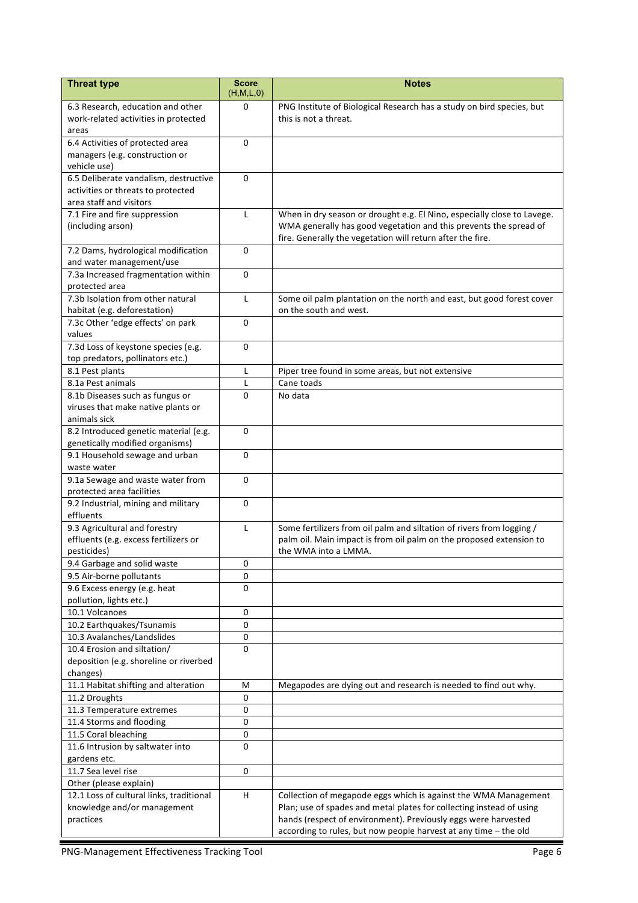| <b>Threat type</b>                                                        | <b>Score</b>   | <b>Notes</b>                                                                                                                           |
|---------------------------------------------------------------------------|----------------|----------------------------------------------------------------------------------------------------------------------------------------|
|                                                                           | (H,M,L,0)<br>0 |                                                                                                                                        |
| 6.3 Research, education and other<br>work-related activities in protected |                | PNG Institute of Biological Research has a study on bird species, but<br>this is not a threat.                                         |
| areas                                                                     |                |                                                                                                                                        |
| 6.4 Activities of protected area                                          | $\Omega$       |                                                                                                                                        |
| managers (e.g. construction or                                            |                |                                                                                                                                        |
| vehicle use)                                                              |                |                                                                                                                                        |
| 6.5 Deliberate vandalism, destructive                                     | $\Omega$       |                                                                                                                                        |
| activities or threats to protected                                        |                |                                                                                                                                        |
| area staff and visitors                                                   |                |                                                                                                                                        |
| 7.1 Fire and fire suppression                                             | L              | When in dry season or drought e.g. El Nino, especially close to Lavege.                                                                |
| (including arson)                                                         |                | WMA generally has good vegetation and this prevents the spread of                                                                      |
|                                                                           |                | fire. Generally the vegetation will return after the fire.                                                                             |
| 7.2 Dams, hydrological modification                                       | $\Omega$       |                                                                                                                                        |
| and water management/use                                                  |                |                                                                                                                                        |
| 7.3a Increased fragmentation within                                       | $\Omega$       |                                                                                                                                        |
| protected area<br>7.3b Isolation from other natural                       |                |                                                                                                                                        |
| habitat (e.g. deforestation)                                              | L              | Some oil palm plantation on the north and east, but good forest cover<br>on the south and west.                                        |
| 7.3c Other 'edge effects' on park                                         | $\Omega$       |                                                                                                                                        |
| values                                                                    |                |                                                                                                                                        |
| 7.3d Loss of keystone species (e.g.                                       | $\Omega$       |                                                                                                                                        |
| top predators, pollinators etc.)                                          |                |                                                                                                                                        |
| 8.1 Pest plants                                                           | L              | Piper tree found in some areas, but not extensive                                                                                      |
| 8.1a Pest animals                                                         | $\mathsf{L}$   | Cane toads                                                                                                                             |
| 8.1b Diseases such as fungus or                                           | $\Omega$       | No data                                                                                                                                |
| viruses that make native plants or                                        |                |                                                                                                                                        |
| animals sick                                                              |                |                                                                                                                                        |
| 8.2 Introduced genetic material (e.g.                                     | 0              |                                                                                                                                        |
| genetically modified organisms)                                           |                |                                                                                                                                        |
| 9.1 Household sewage and urban                                            | $\Omega$       |                                                                                                                                        |
| waste water                                                               |                |                                                                                                                                        |
| 9.1a Sewage and waste water from                                          | 0              |                                                                                                                                        |
| protected area facilities                                                 |                |                                                                                                                                        |
| 9.2 Industrial, mining and military                                       | 0              |                                                                                                                                        |
| effluents                                                                 |                |                                                                                                                                        |
| 9.3 Agricultural and forestry                                             | L              | Some fertilizers from oil palm and siltation of rivers from logging /                                                                  |
| effluents (e.g. excess fertilizers or<br>pesticides)                      |                | palm oil. Main impact is from oil palm on the proposed extension to<br>the WMA into a LMMA.                                            |
| 9.4 Garbage and solid waste                                               | 0              |                                                                                                                                        |
| 9.5 Air-borne pollutants                                                  | 0              |                                                                                                                                        |
| 9.6 Excess energy (e.g. heat                                              | 0              |                                                                                                                                        |
| pollution, lights etc.)                                                   |                |                                                                                                                                        |
| 10.1 Volcanoes                                                            | $\pmb{0}$      |                                                                                                                                        |
| 10.2 Earthquakes/Tsunamis                                                 | 0              |                                                                                                                                        |
| 10.3 Avalanches/Landslides                                                | 0              |                                                                                                                                        |
| 10.4 Erosion and siltation/                                               | $\Omega$       |                                                                                                                                        |
| deposition (e.g. shoreline or riverbed                                    |                |                                                                                                                                        |
| changes)                                                                  |                |                                                                                                                                        |
| 11.1 Habitat shifting and alteration                                      | М              | Megapodes are dying out and research is needed to find out why.                                                                        |
| 11.2 Droughts                                                             | 0              |                                                                                                                                        |
| 11.3 Temperature extremes                                                 | 0              |                                                                                                                                        |
| 11.4 Storms and flooding                                                  | 0              |                                                                                                                                        |
| 11.5 Coral bleaching                                                      | $\pmb{0}$      |                                                                                                                                        |
| 11.6 Intrusion by saltwater into                                          | $\Omega$       |                                                                                                                                        |
| gardens etc.                                                              |                |                                                                                                                                        |
| 11.7 Sea level rise                                                       | 0              |                                                                                                                                        |
| Other (please explain)                                                    |                |                                                                                                                                        |
| 12.1 Loss of cultural links, traditional                                  | H.             | Collection of megapode eggs which is against the WMA Management                                                                        |
| knowledge and/or management<br>practices                                  |                | Plan; use of spades and metal plates for collecting instead of using<br>hands (respect of environment). Previously eggs were harvested |
|                                                                           |                | according to rules, but now people harvest at any time - the old                                                                       |
|                                                                           |                |                                                                                                                                        |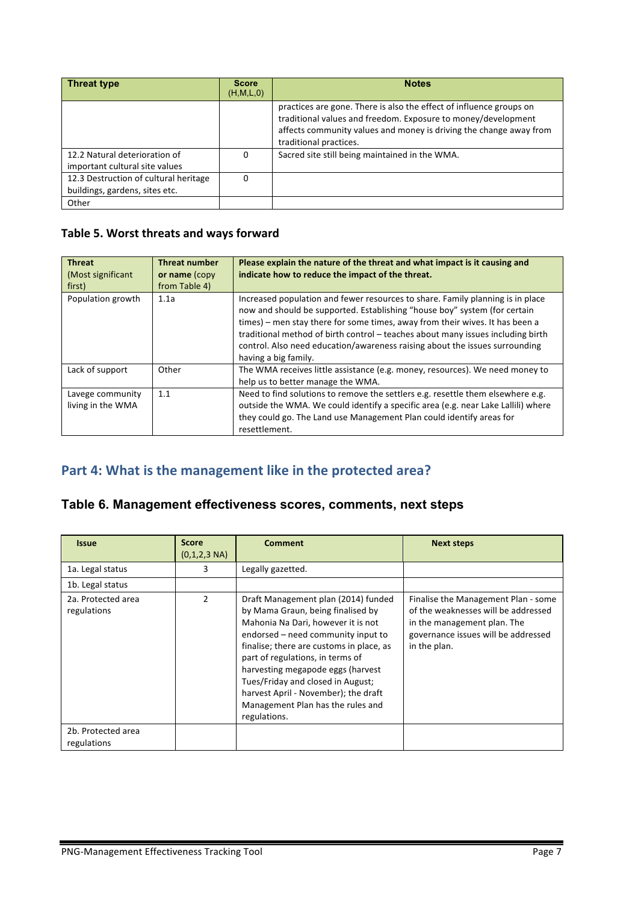| <b>Threat type</b>                                                      | <b>Score</b><br>(H,M,L,0) | <b>Notes</b>                                                                                                                                                                                                                         |
|-------------------------------------------------------------------------|---------------------------|--------------------------------------------------------------------------------------------------------------------------------------------------------------------------------------------------------------------------------------|
|                                                                         |                           | practices are gone. There is also the effect of influence groups on<br>traditional values and freedom. Exposure to money/development<br>affects community values and money is driving the change away from<br>traditional practices. |
| 12.2 Natural deterioration of<br>important cultural site values         | 0                         | Sacred site still being maintained in the WMA.                                                                                                                                                                                       |
| 12.3 Destruction of cultural heritage<br>buildings, gardens, sites etc. | 0                         |                                                                                                                                                                                                                                      |
| Other                                                                   |                           |                                                                                                                                                                                                                                      |

### Table 5. Worst threats and ways forward

| <b>Threat</b><br>(Most significant<br>first) | <b>Threat number</b><br>or name (copy<br>from Table 4) | Please explain the nature of the threat and what impact is it causing and<br>indicate how to reduce the impact of the threat.                                                                                                                                                                                                                                                                                                         |
|----------------------------------------------|--------------------------------------------------------|---------------------------------------------------------------------------------------------------------------------------------------------------------------------------------------------------------------------------------------------------------------------------------------------------------------------------------------------------------------------------------------------------------------------------------------|
| Population growth                            | 1.1a                                                   | Increased population and fewer resources to share. Family planning is in place<br>now and should be supported. Establishing "house boy" system (for certain<br>times) – men stay there for some times, away from their wives. It has been a<br>traditional method of birth control – teaches about many issues including birth<br>control. Also need education/awareness raising about the issues surrounding<br>having a big family. |
| Lack of support                              | Other                                                  | The WMA receives little assistance (e.g. money, resources). We need money to<br>help us to better manage the WMA.                                                                                                                                                                                                                                                                                                                     |
| Lavege community<br>living in the WMA        | 1.1                                                    | Need to find solutions to remove the settlers e.g. resettle them elsewhere e.g.<br>outside the WMA. We could identify a specific area (e.g. near Lake Lallili) where<br>they could go. The Land use Management Plan could identify areas for<br>resettlement.                                                                                                                                                                         |

# Part 4: What is the management like in the protected area?

## **Table 6. Management effectiveness scores, comments, next steps**

| <b>Issue</b>                      | <b>Score</b><br>$(0,1,2,3 \text{ NA})$ | <b>Comment</b>                                                                                                                                                                                                                                                                                                                                                                                              | <b>Next steps</b>                                                                                                                                                |
|-----------------------------------|----------------------------------------|-------------------------------------------------------------------------------------------------------------------------------------------------------------------------------------------------------------------------------------------------------------------------------------------------------------------------------------------------------------------------------------------------------------|------------------------------------------------------------------------------------------------------------------------------------------------------------------|
| 1a. Legal status                  | 3                                      | Legally gazetted.                                                                                                                                                                                                                                                                                                                                                                                           |                                                                                                                                                                  |
| 1b. Legal status                  |                                        |                                                                                                                                                                                                                                                                                                                                                                                                             |                                                                                                                                                                  |
| 2a. Protected area<br>regulations | 2                                      | Draft Management plan (2014) funded<br>by Mama Graun, being finalised by<br>Mahonia Na Dari, however it is not<br>endorsed - need community input to<br>finalise; there are customs in place, as<br>part of regulations, in terms of<br>harvesting megapode eggs (harvest<br>Tues/Friday and closed in August;<br>harvest April - November); the draft<br>Management Plan has the rules and<br>regulations. | Finalise the Management Plan - some<br>of the weaknesses will be addressed<br>in the management plan. The<br>governance issues will be addressed<br>in the plan. |
| 2b. Protected area<br>regulations |                                        |                                                                                                                                                                                                                                                                                                                                                                                                             |                                                                                                                                                                  |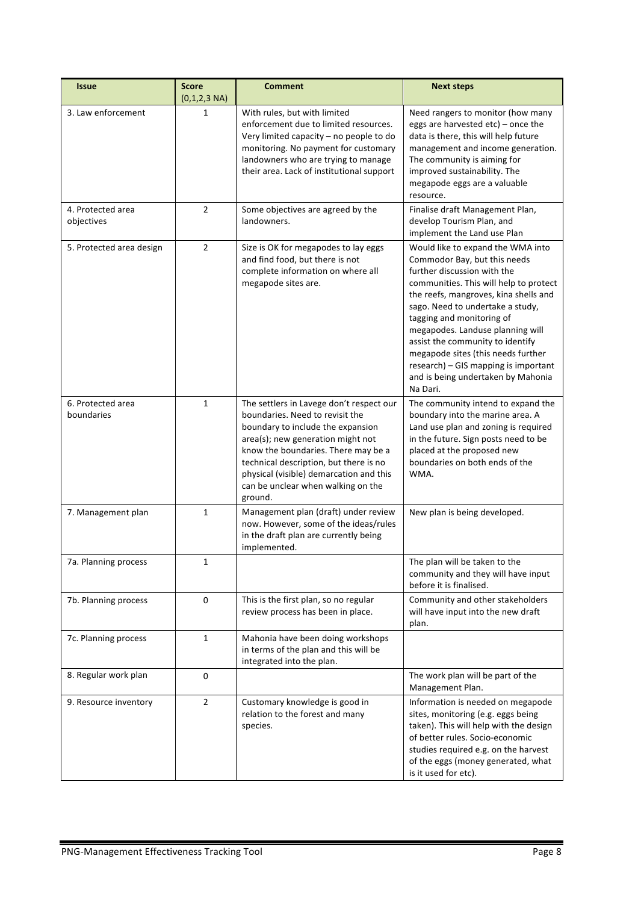| <b>Issue</b>                    | <b>Score</b><br>$(0,1,2,3 \text{ NA})$ | <b>Comment</b>                                                                                                                                                                                                                                                                                                                     | <b>Next steps</b>                                                                                                                                                                                                                                                                                                                                                                                                                                            |
|---------------------------------|----------------------------------------|------------------------------------------------------------------------------------------------------------------------------------------------------------------------------------------------------------------------------------------------------------------------------------------------------------------------------------|--------------------------------------------------------------------------------------------------------------------------------------------------------------------------------------------------------------------------------------------------------------------------------------------------------------------------------------------------------------------------------------------------------------------------------------------------------------|
| 3. Law enforcement              | 1                                      | With rules, but with limited<br>enforcement due to limited resources.<br>Very limited capacity - no people to do<br>monitoring. No payment for customary<br>landowners who are trying to manage<br>their area. Lack of institutional support                                                                                       | Need rangers to monitor (how many<br>eggs are harvested etc) - once the<br>data is there, this will help future<br>management and income generation.<br>The community is aiming for<br>improved sustainability. The<br>megapode eggs are a valuable<br>resource.                                                                                                                                                                                             |
| 4. Protected area<br>objectives | $\overline{2}$                         | Some objectives are agreed by the<br>landowners.                                                                                                                                                                                                                                                                                   | Finalise draft Management Plan,<br>develop Tourism Plan, and<br>implement the Land use Plan                                                                                                                                                                                                                                                                                                                                                                  |
| 5. Protected area design        | $\overline{2}$                         | Size is OK for megapodes to lay eggs<br>and find food, but there is not<br>complete information on where all<br>megapode sites are.                                                                                                                                                                                                | Would like to expand the WMA into<br>Commodor Bay, but this needs<br>further discussion with the<br>communities. This will help to protect<br>the reefs, mangroves, kina shells and<br>sago. Need to undertake a study,<br>tagging and monitoring of<br>megapodes. Landuse planning will<br>assist the community to identify<br>megapode sites (this needs further<br>research) - GIS mapping is important<br>and is being undertaken by Mahonia<br>Na Dari. |
| 6. Protected area<br>boundaries | $\mathbf{1}$                           | The settlers in Lavege don't respect our<br>boundaries. Need to revisit the<br>boundary to include the expansion<br>area(s); new generation might not<br>know the boundaries. There may be a<br>technical description, but there is no<br>physical (visible) demarcation and this<br>can be unclear when walking on the<br>ground. | The community intend to expand the<br>boundary into the marine area. A<br>Land use plan and zoning is required<br>in the future. Sign posts need to be<br>placed at the proposed new<br>boundaries on both ends of the<br>WMA.                                                                                                                                                                                                                               |
| 7. Management plan              | $\mathbf{1}$                           | Management plan (draft) under review<br>now. However, some of the ideas/rules<br>in the draft plan are currently being<br>implemented.                                                                                                                                                                                             | New plan is being developed.                                                                                                                                                                                                                                                                                                                                                                                                                                 |
| 7a. Planning process            | 1                                      |                                                                                                                                                                                                                                                                                                                                    | The plan will be taken to the<br>community and they will have input<br>before it is finalised.                                                                                                                                                                                                                                                                                                                                                               |
| 7b. Planning process            | $\pmb{0}$                              | This is the first plan, so no regular<br>review process has been in place.                                                                                                                                                                                                                                                         | Community and other stakeholders<br>will have input into the new draft<br>plan.                                                                                                                                                                                                                                                                                                                                                                              |
| 7c. Planning process            | $\mathbf{1}$                           | Mahonia have been doing workshops<br>in terms of the plan and this will be<br>integrated into the plan.                                                                                                                                                                                                                            |                                                                                                                                                                                                                                                                                                                                                                                                                                                              |
| 8. Regular work plan            | 0                                      |                                                                                                                                                                                                                                                                                                                                    | The work plan will be part of the<br>Management Plan.                                                                                                                                                                                                                                                                                                                                                                                                        |
| 9. Resource inventory           | $\overline{2}$                         | Customary knowledge is good in<br>relation to the forest and many<br>species.                                                                                                                                                                                                                                                      | Information is needed on megapode<br>sites, monitoring (e.g. eggs being<br>taken). This will help with the design<br>of better rules. Socio-economic<br>studies required e.g. on the harvest<br>of the eggs (money generated, what<br>is it used for etc).                                                                                                                                                                                                   |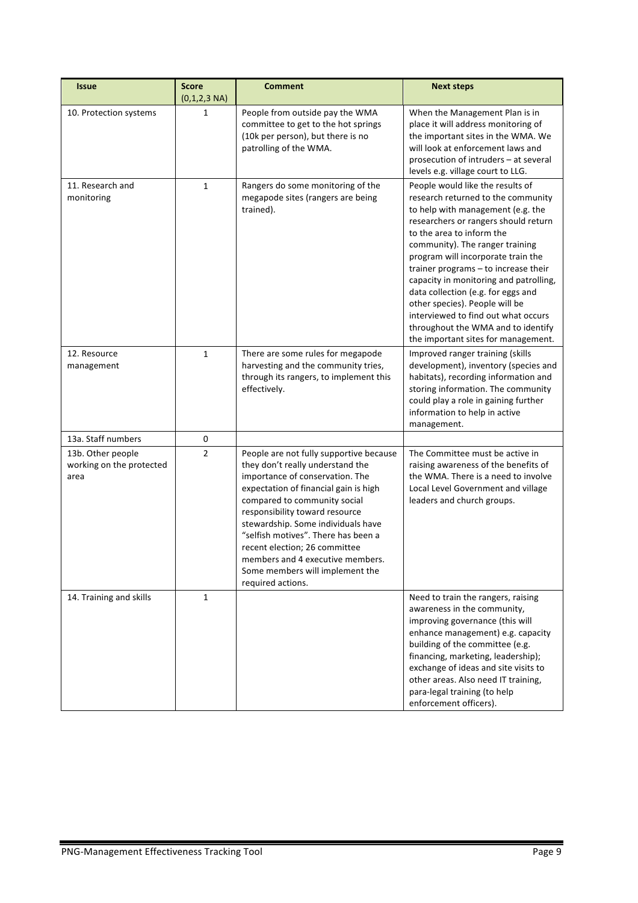| <b>Issue</b>                                          | <b>Score</b><br>$(0,1,2,3 \text{ NA})$ | <b>Comment</b>                                                                                                                                                                                                                                                                                                                                                                                                                      | <b>Next steps</b>                                                                                                                                                                                                                                                                                                                                                                                                                                                                                                                       |
|-------------------------------------------------------|----------------------------------------|-------------------------------------------------------------------------------------------------------------------------------------------------------------------------------------------------------------------------------------------------------------------------------------------------------------------------------------------------------------------------------------------------------------------------------------|-----------------------------------------------------------------------------------------------------------------------------------------------------------------------------------------------------------------------------------------------------------------------------------------------------------------------------------------------------------------------------------------------------------------------------------------------------------------------------------------------------------------------------------------|
| 10. Protection systems                                | 1                                      | People from outside pay the WMA<br>committee to get to the hot springs<br>(10k per person), but there is no<br>patrolling of the WMA.                                                                                                                                                                                                                                                                                               | When the Management Plan is in<br>place it will address monitoring of<br>the important sites in the WMA. We<br>will look at enforcement laws and<br>prosecution of intruders - at several<br>levels e.g. village court to LLG.                                                                                                                                                                                                                                                                                                          |
| 11. Research and<br>monitoring                        | $\mathbf{1}$                           | Rangers do some monitoring of the<br>megapode sites (rangers are being<br>trained).                                                                                                                                                                                                                                                                                                                                                 | People would like the results of<br>research returned to the community<br>to help with management (e.g. the<br>researchers or rangers should return<br>to the area to inform the<br>community). The ranger training<br>program will incorporate train the<br>trainer programs - to increase their<br>capacity in monitoring and patrolling,<br>data collection (e.g. for eggs and<br>other species). People will be<br>interviewed to find out what occurs<br>throughout the WMA and to identify<br>the important sites for management. |
| 12. Resource<br>management                            | $\mathbf{1}$                           | There are some rules for megapode<br>harvesting and the community tries,<br>through its rangers, to implement this<br>effectively.                                                                                                                                                                                                                                                                                                  | Improved ranger training (skills<br>development), inventory (species and<br>habitats), recording information and<br>storing information. The community<br>could play a role in gaining further<br>information to help in active<br>management.                                                                                                                                                                                                                                                                                          |
| 13a. Staff numbers                                    | 0                                      |                                                                                                                                                                                                                                                                                                                                                                                                                                     |                                                                                                                                                                                                                                                                                                                                                                                                                                                                                                                                         |
| 13b. Other people<br>working on the protected<br>area | $\overline{2}$                         | People are not fully supportive because<br>they don't really understand the<br>importance of conservation. The<br>expectation of financial gain is high<br>compared to community social<br>responsibility toward resource<br>stewardship. Some individuals have<br>"selfish motives". There has been a<br>recent election; 26 committee<br>members and 4 executive members.<br>Some members will implement the<br>required actions. | The Committee must be active in<br>raising awareness of the benefits of<br>the WMA. There is a need to involve<br>Local Level Government and village<br>leaders and church groups.                                                                                                                                                                                                                                                                                                                                                      |
| 14. Training and skills                               | 1                                      |                                                                                                                                                                                                                                                                                                                                                                                                                                     | Need to train the rangers, raising<br>awareness in the community,<br>improving governance (this will<br>enhance management) e.g. capacity<br>building of the committee (e.g.<br>financing, marketing, leadership);<br>exchange of ideas and site visits to<br>other areas. Also need IT training,<br>para-legal training (to help<br>enforcement officers).                                                                                                                                                                             |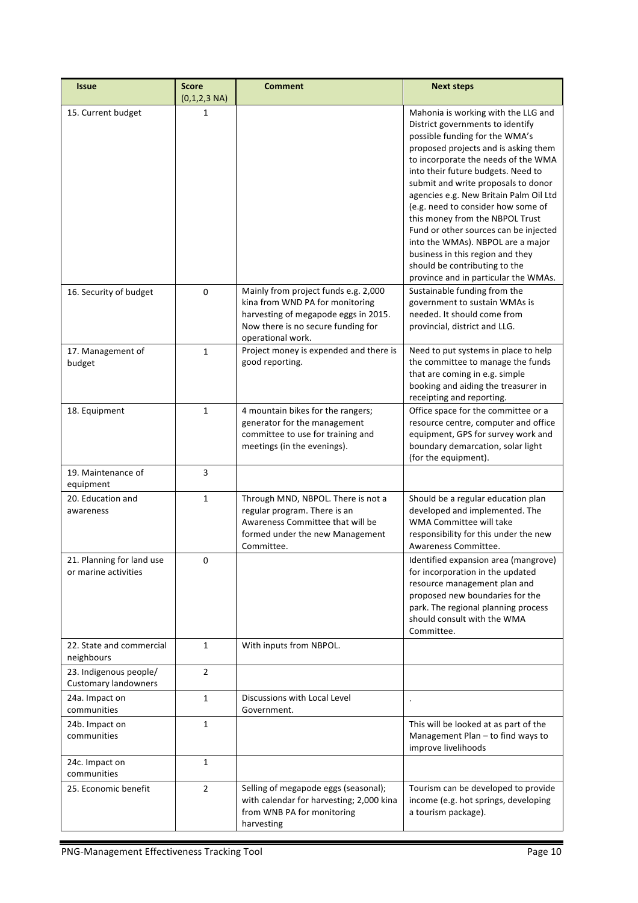| <b>Issue</b>                                          | <b>Score</b><br>$(0,1,2,3 \text{ NA})$ | <b>Comment</b>                                                                                                                                                             | <b>Next steps</b>                                                                                                                                                                                                                                                                                                                                                                                                                                                                                                                                                                   |
|-------------------------------------------------------|----------------------------------------|----------------------------------------------------------------------------------------------------------------------------------------------------------------------------|-------------------------------------------------------------------------------------------------------------------------------------------------------------------------------------------------------------------------------------------------------------------------------------------------------------------------------------------------------------------------------------------------------------------------------------------------------------------------------------------------------------------------------------------------------------------------------------|
| 15. Current budget                                    | 1                                      |                                                                                                                                                                            | Mahonia is working with the LLG and<br>District governments to identify<br>possible funding for the WMA's<br>proposed projects and is asking them<br>to incorporate the needs of the WMA<br>into their future budgets. Need to<br>submit and write proposals to donor<br>agencies e.g. New Britain Palm Oil Ltd<br>(e.g. need to consider how some of<br>this money from the NBPOL Trust<br>Fund or other sources can be injected<br>into the WMAs). NBPOL are a major<br>business in this region and they<br>should be contributing to the<br>province and in particular the WMAs. |
| 16. Security of budget                                | 0                                      | Mainly from project funds e.g. 2,000<br>kina from WND PA for monitoring<br>harvesting of megapode eggs in 2015.<br>Now there is no secure funding for<br>operational work. | Sustainable funding from the<br>government to sustain WMAs is<br>needed. It should come from<br>provincial, district and LLG.                                                                                                                                                                                                                                                                                                                                                                                                                                                       |
| 17. Management of<br>budget                           | $\mathbf{1}$                           | Project money is expended and there is<br>good reporting.                                                                                                                  | Need to put systems in place to help<br>the committee to manage the funds<br>that are coming in e.g. simple<br>booking and aiding the treasurer in<br>receipting and reporting.                                                                                                                                                                                                                                                                                                                                                                                                     |
| 18. Equipment                                         | $\mathbf{1}$                           | 4 mountain bikes for the rangers;<br>generator for the management<br>committee to use for training and<br>meetings (in the evenings).                                      | Office space for the committee or a<br>resource centre, computer and office<br>equipment, GPS for survey work and<br>boundary demarcation, solar light<br>(for the equipment).                                                                                                                                                                                                                                                                                                                                                                                                      |
| 19. Maintenance of<br>equipment                       | 3                                      |                                                                                                                                                                            |                                                                                                                                                                                                                                                                                                                                                                                                                                                                                                                                                                                     |
| 20. Education and<br>awareness                        | $\mathbf{1}$                           | Through MND, NBPOL. There is not a<br>regular program. There is an<br>Awareness Committee that will be<br>formed under the new Management<br>Committee.                    | Should be a regular education plan<br>developed and implemented. The<br><b>WMA Committee will take</b><br>responsibility for this under the new<br>Awareness Committee.                                                                                                                                                                                                                                                                                                                                                                                                             |
| 21. Planning for land use<br>or marine activities     | 0                                      |                                                                                                                                                                            | Identified expansion area (mangrove)<br>for incorporation in the updated<br>resource management plan and<br>proposed new boundaries for the<br>park. The regional planning process<br>should consult with the WMA<br>Committee.                                                                                                                                                                                                                                                                                                                                                     |
| 22. State and commercial<br>neighbours                | $\mathbf{1}$                           | With inputs from NBPOL.                                                                                                                                                    |                                                                                                                                                                                                                                                                                                                                                                                                                                                                                                                                                                                     |
| 23. Indigenous people/<br><b>Customary landowners</b> | $\overline{2}$                         |                                                                                                                                                                            |                                                                                                                                                                                                                                                                                                                                                                                                                                                                                                                                                                                     |
| 24a. Impact on<br>communities                         | $\mathbf{1}$                           | Discussions with Local Level<br>Government.                                                                                                                                | $\ddot{\phantom{0}}$                                                                                                                                                                                                                                                                                                                                                                                                                                                                                                                                                                |
| 24b. Impact on<br>communities                         | $\mathbf{1}$                           |                                                                                                                                                                            | This will be looked at as part of the<br>Management Plan - to find ways to<br>improve livelihoods                                                                                                                                                                                                                                                                                                                                                                                                                                                                                   |
| 24c. Impact on<br>communities                         | $\mathbf{1}$                           |                                                                                                                                                                            |                                                                                                                                                                                                                                                                                                                                                                                                                                                                                                                                                                                     |
| 25. Economic benefit                                  | $\overline{2}$                         | Selling of megapode eggs (seasonal);<br>with calendar for harvesting; 2,000 kina<br>from WNB PA for monitoring<br>harvesting                                               | Tourism can be developed to provide<br>income (e.g. hot springs, developing<br>a tourism package).                                                                                                                                                                                                                                                                                                                                                                                                                                                                                  |